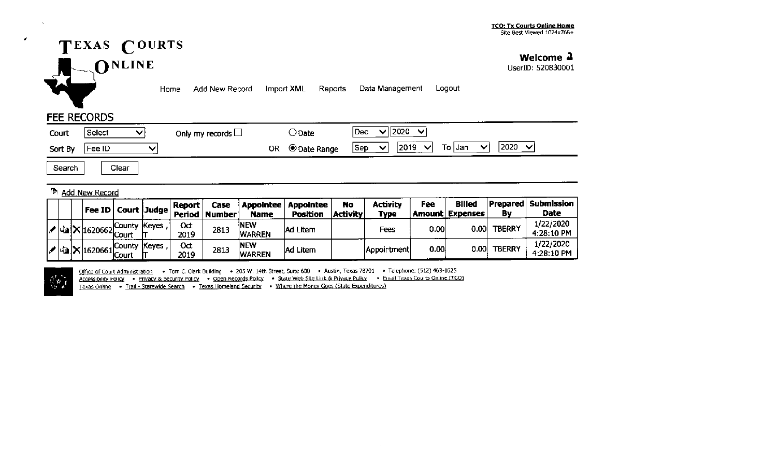

**Welcome .I** 

UserID: 520830001

Home Add New Record Import XML Reports Data Management Logout

## FEE RECORDS

,

 $\Delta \tau$ 

| Court   | Select | Only my records $\Box$ | ) Date                    | 12020<br>Dec                                                          |
|---------|--------|------------------------|---------------------------|-----------------------------------------------------------------------|
| Sort By | Fee ID |                        | OR<br><b>O Date Range</b> | 2020<br>To Jan<br>2019<br>$\checkmark$<br> Sep<br>◡<br>ັ<br>$\lambda$ |

Search | Clear

## Add New Record

|  |  | Fee ID   Court   Judge                      |           |                     | Report     | Case                           |                       | Appointee   Appointee | No<br><b>Activity</b> | Activity    | Fee  | <b>Billed</b><br>Amount Expenses | Βv            | Prepared  Submission <br>Date |
|--|--|---------------------------------------------|-----------|---------------------|------------|--------------------------------|-----------------------|-----------------------|-----------------------|-------------|------|----------------------------------|---------------|-------------------------------|
|  |  |                                             |           |                     |            | , Period   Number <sup> </sup> | <b>Name</b>           | <b>Position</b>       |                       | <b>Type</b> |      |                                  |               |                               |
|  |  | $\mathcal{F}$ 43 $\mathsf{X}$ 1620662 Court | …Count∨ ∶ | Keyes,              | 0đ<br>2019 | 2813                           | INEW<br><b>WARREN</b> | lAd Litem             |                       | Fees        | 0.00 | 0.001                            | <b>TBERRY</b> | 1/22/2020<br>4:28:10 PM       |
|  |  | · 1620661   Court 上                         |           | . County (Keyes , I | 0đ<br>2019 | 2813                           | NEW<br><b>WARREN</b>  | Ad Litem              |                       | Appointment | 0.00 | 0.00                             | <b>TBERRY</b> | 1/22/2020<br>4:28:10 PM       |

 $\left\langle \mathbf{r}\right\rangle$ 

Office of Court Administration • Tom C. Clark Building • 205 W. 14th Street, Suite 600 • Austin, Texas 78701 • Telephone: (512) 463-1625

Accessibility Policy • Privacy & Security Policy • Open Records Policy • State Web Site Link & Privacy Policy • Email Texas Courts Online (TCO)

Texas Online • Trail - Statewide Search • Texas Homeland Security • Where the Money Goes (State Expenditures)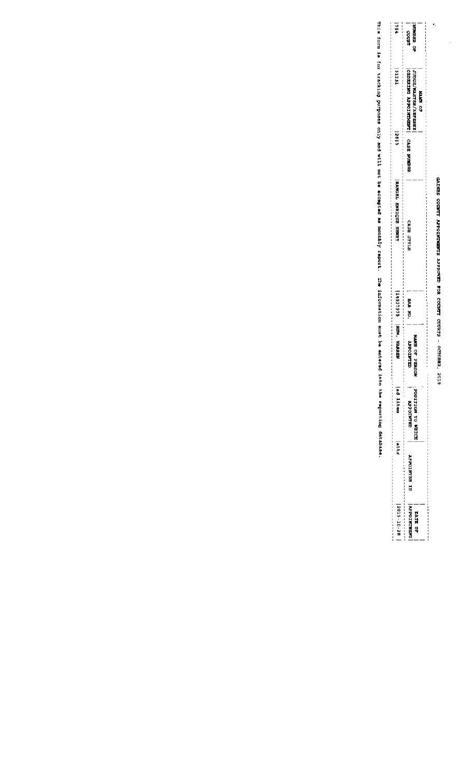## GAINES COUNTY APPOINTMENTS APPROVED FOR COUNTY COURTS - OCTOBER, 2019

 $\ddot{\phantom{0}}$ 

 $\frac{1}{2}$ 

| $3015 - 20 - 28$ | ã                   | <b>Particular</b> |                         | 114937975 NBM, WARED | <b>RANGEL ENRIQUE HERRY</b>                                                                                                                                                                                      | ET9Z | <b>1231</b>                       | 754              |
|------------------|---------------------|-------------------|-------------------------|----------------------|------------------------------------------------------------------------------------------------------------------------------------------------------------------------------------------------------------------|------|-----------------------------------|------------------|
|                  | <b>APPOINTER IS</b> | <b>CPOINTED</b>   | ₿                       | <b>PAN KO</b>        | 如此的现在分词的过去式和过去分词使用的过去式和过去分词形式的过去式和过去分词形式的过去式和过去分词 医胃炎 医胃炎 医鼻炎 医鼻炎 医鼻炎 医鼻炎 医鼻炎 医鼻炎 医鼻炎 医鼻炎 医鼻炎 医阴道性 医白色 化二乙基化 医水杨酸盐 医水杨酸盐 医水杨酸盐 医水杨酸盐 医水杨酸 医水杨酸 医水杨酸盐 医马克氏试验检尿毒素 医马克氏试验检尿素 医水杨酸盐 医马克氏征 医水杨酸盐<br><b>GUSS STATE</b> |      | OASE NORTH APPOINTMENT CASE NORTH | <b>COUNT</b>     |
| <b>TO STAC</b>   |                     | EDIEM OF HOITISCH | i Bach<br><b>NOSING</b> |                      |                                                                                                                                                                                                                  |      | <b>JUDGE/MASTRR/REFERE</b>        | <b>NO SER OF</b> |
|                  |                     |                   |                         |                      |                                                                                                                                                                                                                  |      | <b>NAME CR</b>                    |                  |

This form is for tracking purposes only and will not be accepted as monthly report. The information must be entered into the reporting database.